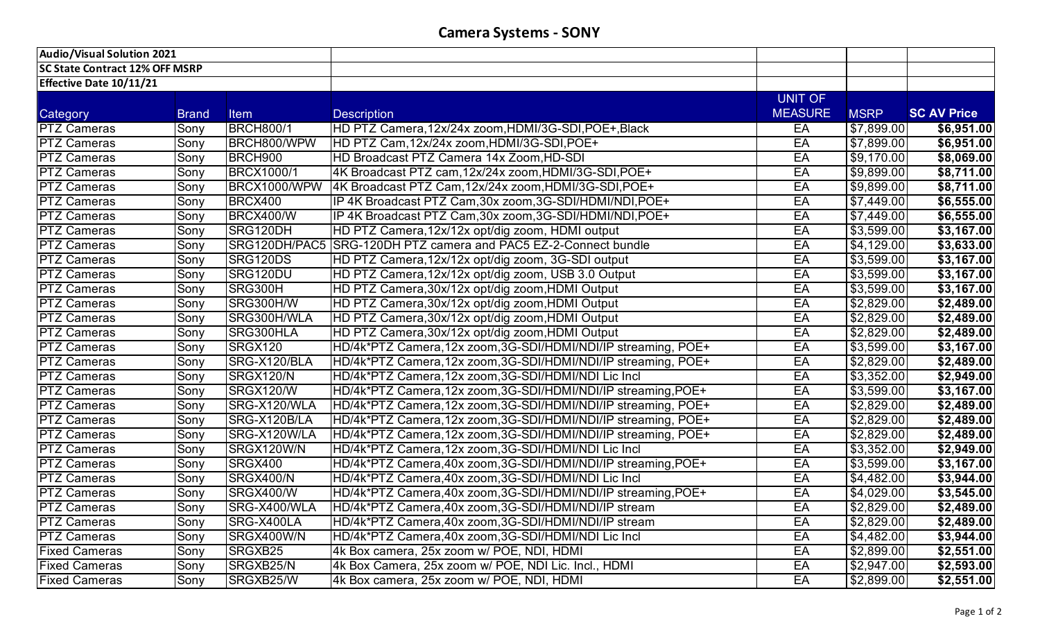| <b>Audio/Visual Solution 2021</b>     |              |                   |                                                                 |                |                        |                    |
|---------------------------------------|--------------|-------------------|-----------------------------------------------------------------|----------------|------------------------|--------------------|
| <b>SC State Contract 12% OFF MSRP</b> |              |                   |                                                                 |                |                        |                    |
| Effective Date 10/11/21               |              |                   |                                                                 |                |                        |                    |
|                                       |              |                   |                                                                 | UNIT OF        |                        |                    |
| Category                              | <b>Brand</b> | <b>Item</b>       | <b>Description</b>                                              | <b>MEASURE</b> | <b>MSRP</b>            | <b>SC AV Price</b> |
| <b>PTZ Cameras</b>                    | Sony         | <b>BRCH800/1</b>  | HD PTZ Camera,12x/24x zoom,HDMI/3G-SDI,POE+,Black               | EA             | \$7,899.00             | \$6,951.00         |
| <b>PTZ Cameras</b>                    | Sony         | BRCH800/WPW       | HD PTZ Cam, 12x/24x zoom, HDMI/3G-SDI, POE+                     | EA             | \$7,899.00             | \$6,951.00         |
| <b>PTZ Cameras</b>                    | Sony         | BRCH900           | HD Broadcast PTZ Camera 14x Zoom, HD-SDI                        | EA             | \$9,170.00             | \$8,069.00         |
| <b>PTZ Cameras</b>                    | Sony         | <b>BRCX1000/1</b> | 4K Broadcast PTZ cam, 12x/24x zoom, HDMI/3G-SDI, POE+           | EA             | \$9,899.00             | \$8,711.00         |
| <b>PTZ Cameras</b>                    | Sony         | BRCX1000/WPW      | 4K Broadcast PTZ Cam, 12x/24x zoom, HDMI/3G-SDI, POE+           | EA             | \$9,899.00             | \$8,711.00         |
| <b>PTZ Cameras</b>                    | Sony         | <b>BRCX400</b>    | IP 4K Broadcast PTZ Cam,30x zoom,3G-SDI/HDMI/NDI,POE+           | EA             | \$7,449.00             | \$6,555.00         |
| <b>PTZ Cameras</b>                    | Sony         | <b>BRCX400/W</b>  | IP 4K Broadcast PTZ Cam, 30x zoom, 3G-SDI/HDMI/NDI, POE+        | EA             | \$7,449.00             | \$6,555.00         |
| <b>PTZ Cameras</b>                    | Sony         | SRG120DH          | HD PTZ Camera, 12x/12x opt/dig zoom, HDMI output                | EA             | $\overline{$3,599.00}$ | \$3,167.00         |
| <b>PTZ Cameras</b>                    | Sony         |                   | SRG120DH/PAC5 SRG-120DH PTZ camera and PAC5 EZ-2-Connect bundle | EA             | \$4,129.00             | \$3,633.00         |
| <b>PTZ Cameras</b>                    | Sony         | SRG120DS          | HD PTZ Camera, 12x/12x opt/dig zoom, 3G-SDI output              | EA             | \$3,599.00             | \$3,167.00         |
| <b>PTZ Cameras</b>                    | Sony         | SRG120DU          | HD PTZ Camera, 12x/12x opt/dig zoom, USB 3.0 Output             | EA             | \$3,599.00             | \$3,167.00         |
| <b>PTZ Cameras</b>                    | Sony         | SRG300H           | HD PTZ Camera, 30x/12x opt/dig zoom, HDMI Output                | EA             | \$3,599.00             | \$3,167.00         |
| <b>PTZ Cameras</b>                    | Sony         | <b>SRG300H/W</b>  | HD PTZ Camera, 30x/12x opt/dig zoom, HDMI Output                | EA             | \$2,829.00             | \$2,489.00         |
| <b>PTZ Cameras</b>                    | Sony         | SRG300H/WLA       | HD PTZ Camera, 30x/12x opt/dig zoom, HDMI Output                | EA             | \$2,829.00             | \$2,489.00         |
| <b>PTZ Cameras</b>                    | Sony         | SRG300HLA         | HD PTZ Camera, 30x/12x opt/dig zoom, HDMI Output                | EA             | \$2,829.00             | \$2,489.00         |
| <b>PTZ Cameras</b>                    | Sony         | <b>SRGX120</b>    | HD/4k*PTZ Camera,12x zoom,3G-SDI/HDMI/NDI/IP streaming, POE+    | EA             | \$3,599.00             | \$3,167.00         |
| <b>PTZ Cameras</b>                    | Sony         | SRG-X120/BLA      | HD/4k*PTZ Camera,12x zoom,3G-SDI/HDMI/NDI/IP streaming, POE+    | EA             | \$2,829.00             | \$2,489.00         |
| <b>PTZ Cameras</b>                    | Sony         | SRGX120/N         | HD/4k*PTZ Camera,12x zoom,3G-SDI/HDMI/NDI Lic Incl              | EA             | \$3,352.00             | \$2,949.00         |
| <b>PTZ Cameras</b>                    | Sony         | SRGX120/W         | HD/4k*PTZ Camera, 12x zoom, 3G-SDI/HDMI/NDI/IP streaming, POE+  | EA             | \$3,599.00             | \$3,167.00         |
| <b>PTZ Cameras</b>                    | Sony         | SRG-X120/WLA      | HD/4k*PTZ Camera,12x zoom,3G-SDI/HDMI/NDI/IP streaming, POE+    | EA             | \$2,829.00             | \$2,489.00         |
| <b>PTZ Cameras</b>                    | Sony         | SRG-X120B/LA      | HD/4k*PTZ Camera,12x zoom,3G-SDI/HDMI/NDI/IP streaming, POE+    | EA             | \$2,829.00             | \$2,489.00         |
| <b>PTZ Cameras</b>                    | Sony         | SRG-X120W/LA      | HD/4k*PTZ Camera,12x zoom,3G-SDI/HDMI/NDI/IP streaming, POE+    | EA             | \$2,829.00             | \$2,489.00         |
| <b>PTZ Cameras</b>                    | Sony         | SRGX120W/N        | HD/4k*PTZ Camera,12x zoom,3G-SDI/HDMI/NDI Lic Incl              | EA             | \$3,352.00             | \$2,949.00         |
| <b>PTZ Cameras</b>                    | Sony         | SRGX400           | HD/4k*PTZ Camera,40x zoom,3G-SDI/HDMI/NDI/IP streaming,POE+     | EA             | \$3,599.00             | \$3,167.00         |
| <b>PTZ Cameras</b>                    | Sony         | SRGX400/N         | HD/4k*PTZ Camera,40x zoom,3G-SDI/HDMI/NDI Lic Incl              | EA             | \$4,482.00             | \$3,944.00         |
| <b>PTZ Cameras</b>                    | Sony         | SRGX400/W         | HD/4k*PTZ Camera, 40x zoom, 3G-SDI/HDMI/NDI/IP streaming, POE+  | EA             | \$4,029.00             | \$3,545.00         |
| <b>PTZ Cameras</b>                    | Sony         | SRG-X400/WLA      | HD/4k*PTZ Camera,40x zoom,3G-SDI/HDMI/NDI/IP stream             | EA             | \$2,829.00             | \$2,489.00         |
| <b>PTZ Cameras</b>                    | Sony         | SRG-X400LA        | HD/4k*PTZ Camera,40x zoom,3G-SDI/HDMI/NDI/IP stream             | EA             | \$2,829.00             | \$2,489.00         |
| <b>PTZ Cameras</b>                    | Sony         | SRGX400W/N        | HD/4k*PTZ Camera,40x zoom,3G-SDI/HDMI/NDI Lic Incl              | EA             | \$4,482.00             | \$3,944.00         |
| <b>Fixed Cameras</b>                  | Sony         | SRGXB25           | 4k Box camera, 25x zoom w/ POE, NDI, HDMI                       | EA             | \$2,899.00             | \$2,551.00         |
| <b>Fixed Cameras</b>                  | Sony         | SRGXB25/N         | 4k Box Camera, 25x zoom w/ POE, NDI Lic. Incl., HDMI            | EA             | \$2,947.00             | \$2,593.00         |
| <b>Fixed Cameras</b>                  | Sony         | SRGXB25/W         | 4k Box camera, 25x zoom w/ POE, NDI, HDMI                       | EA             | \$2,899.00             | \$2,551.00         |